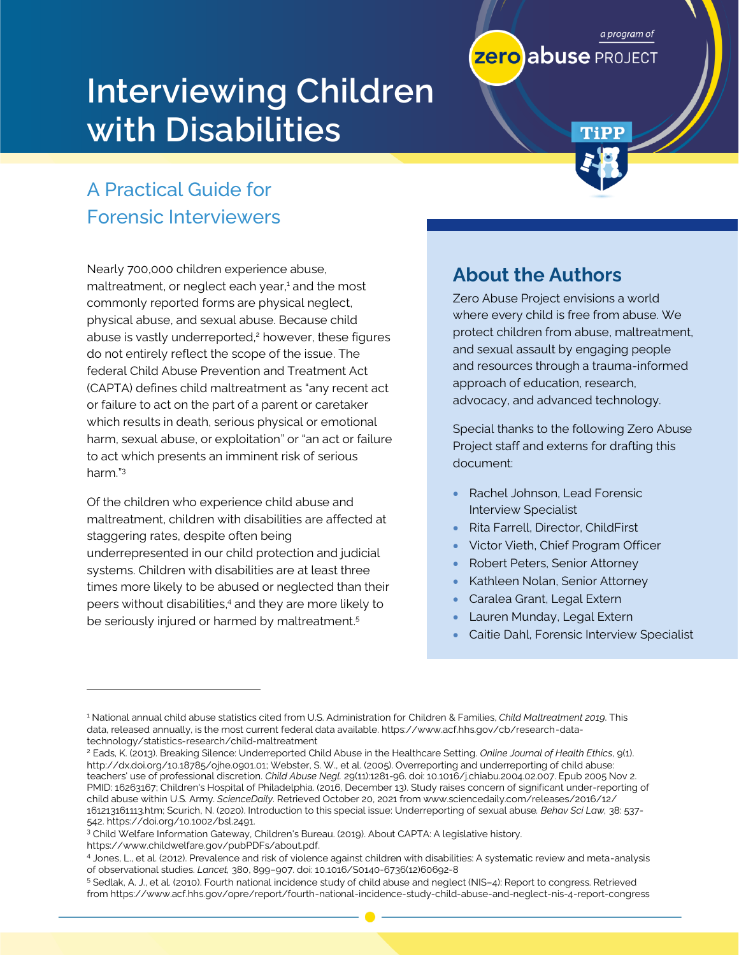# **Interviewing Children with Disabilities**

# A Practical Guide for Forensic Interviewers

Nearly 700,000 children experience abuse, maltreatment, or neglect each year, <sup>1</sup> and the most commonly reported forms are physical neglect, physical abuse, and sexual abuse. Because child abuse is vastly underreported,<sup>2</sup> however, these figures do not entirely reflect the scope of the issue. The federal Child Abuse Prevention and Treatment Act (CAPTA) defines child maltreatment as "any recent act or failure to act on the part of a parent or caretaker which results in death, serious physical or emotional harm, sexual abuse, or exploitation" or "an act or failure to act which presents an imminent risk of serious harm." 3

Of the children who experience child abuse and maltreatment, children with disabilities are affected at staggering rates, despite often being underrepresented in our child protection and judicial systems. Children with disabilities are at least three times more likely to be abused or neglected than their peers without disabilities, <sup>4</sup> and they are more likely to be seriously injured or harmed by maltreatment.<sup>5</sup>

# **About the Authors**

Zero Abuse Project envisions a world where every child is free from abuse. We protect children from abuse, maltreatment, and sexual assault by engaging people and resources through a trauma-informed approach of education, research, advocacy, and advanced technology.

a program of

TiPP

**zero abuse** PROJECT

Special thanks to the following Zero Abuse Project staff and externs for drafting this document:

- Rachel Johnson, Lead Forensic Interview Specialist
- Rita Farrell, Director, ChildFirst
- Victor Vieth, Chief Program Officer
- Robert Peters, Senior Attorney
- Kathleen Nolan, Senior Attorney
- Caralea Grant, Legal Extern
- Lauren Munday, Legal Extern
- Caitie Dahl, Forensic Interview Specialist

https://www.childwelfare.gov/pubPDFs/about.pdf.

<sup>1</sup> National annual child abuse statistics cited from U.S. Administration for Children & Families, *Child Maltreatment 2019*. This data, released annually, is the most current federal data available. https://www.acf.hhs.gov/cb/research-datatechnology/statistics-research/child-maltreatment

<sup>2</sup> Eads, K. (2013). Breaking Silence: Underreported Child Abuse in the Healthcare Setting*. Online Journal of Health Ethics*, 9(1). http://dx.doi.org/10.18785/ojhe.0901.01; Webster, S. W., et al. (2005). Overreporting and underreporting of child abuse: teachers' use of professional discretion. *Child Abuse Negl.* 29(11):1281-96. doi: 10.1016/j.chiabu.2004.02.007. Epub 2005 Nov 2. PMID: 16263167; Children's Hospital of Philadelphia. (2016, December 13). Study raises concern of significant under-reporting of child abuse within U.S. Army. *ScienceDaily*. Retrieved October 20, 2021 from www.sciencedaily.com/releases/2016/12/ 161213161113.htm; Scurich, N. (2020). Introduction to this special issue: Underreporting of sexual abuse*. Behav Sci Law,* 38: 537- 542. https://doi.org/10.1002/bsl.2491.

<sup>3</sup> Child Welfare Information Gateway, Children's Bureau. (2019). About CAPTA: A legislative history.

<sup>4</sup> Jones, L., et al. (2012). Prevalence and risk of violence against children with disabilities: A systematic review and meta-analysis of observational studies. *Lancet,* 380, 899–907. doi: 10.1016/S0140-6736(12)60692-8

<sup>5</sup> Sedlak, A. J., et al. (2010). Fourth national incidence study of child abuse and neglect (NIS–4): Report to congress. Retrieved from https://www.acf.hhs.gov/opre/report/fourth-national-incidence-study-child-abuse-and-neglect-nis-4-report-congress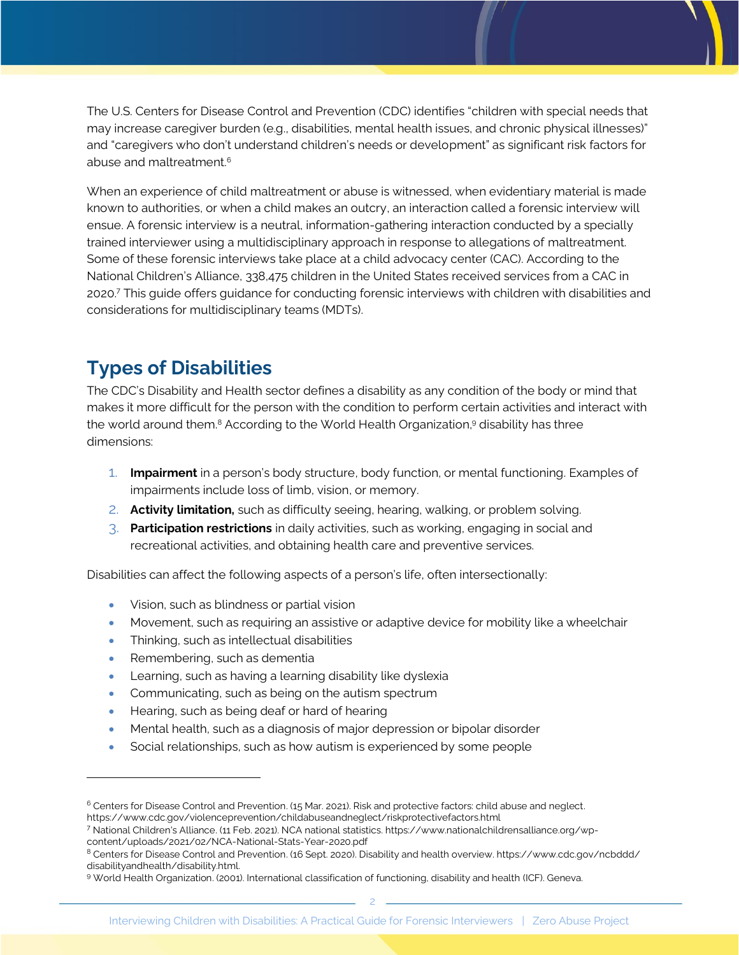The U.S. Centers for Disease Control and Prevention (CDC) identifies "children with special needs that may increase caregiver burden (e.g., disabilities, mental health issues, and chronic physical illnesses)" and "caregivers who don't understand children's needs or development" as significant risk factors for abuse and maltreatment.<sup>6</sup>

When an experience of child maltreatment or abuse is witnessed, when evidentiary material is made known to authorities, or when a child makes an outcry, an interaction called a forensic interview will ensue. A forensic interview is a neutral, information-gathering interaction conducted by a specially trained interviewer using a multidisciplinary approach in response to allegations of maltreatment. Some of these forensic interviews take place at a child advocacy center (CAC). According to the National Children's Alliance, 338,475 children in the United States received services from a CAC in 2020. <sup>7</sup> This guide offers guidance for conducting forensic interviews with children with disabilities and considerations for multidisciplinary teams (MDTs).

# **Types of Disabilities**

The CDC's Disability and Health sector defines a disability as any condition of the body or mind that makes it more difficult for the person with the condition to perform certain activities and interact with the world around them.<sup>8</sup> According to the World Health Organization,<sup>9</sup> disability has three dimensions:

- 1. **Impairment** in a person's body structure, body function, or mental functioning. Examples of impairments include loss of limb, vision, or memory.
- 2. **Activity limitation,** such as difficulty seeing, hearing, walking, or problem solving.
- 3. **Participation restrictions** in daily activities, such as working, engaging in social and recreational activities, and obtaining health care and preventive services.

Disabilities can affect the following aspects of a person's life, often intersectionally:

- Vision, such as blindness or partial vision
- Movement, such as requiring an assistive or adaptive device for mobility like a wheelchair
- Thinking, such as intellectual disabilities
- Remembering, such as dementia
- Learning, such as having a learning disability like dyslexia
- Communicating, such as being on the autism spectrum
- Hearing, such as being deaf or hard of hearing
- Mental health, such as a diagnosis of major depression or bipolar disorder
- Social relationships, such as how autism is experienced by some people

<sup>6</sup> Centers for Disease Control and Prevention. (15 Mar. 2021). Risk and protective factors: child abuse and neglect. https://www.cdc.gov/violenceprevention/childabuseandneglect/riskprotectivefactors.html

<sup>7</sup> National Children's Alliance. (11 Feb. 2021). NCA national statistics. https://www.nationalchildrensalliance.org/wpcontent/uploads/2021/02/NCA-National-Stats-Year-2020.pdf

<sup>8</sup> Centers for Disease Control and Prevention. (16 Sept. 2020). Disability and health overview. https://www.cdc.gov/ncbddd/ disabilityandhealth/disability.html.

<sup>9</sup> World Health Organization. (2001). International classification of functioning, disability and health (ICF). Geneva.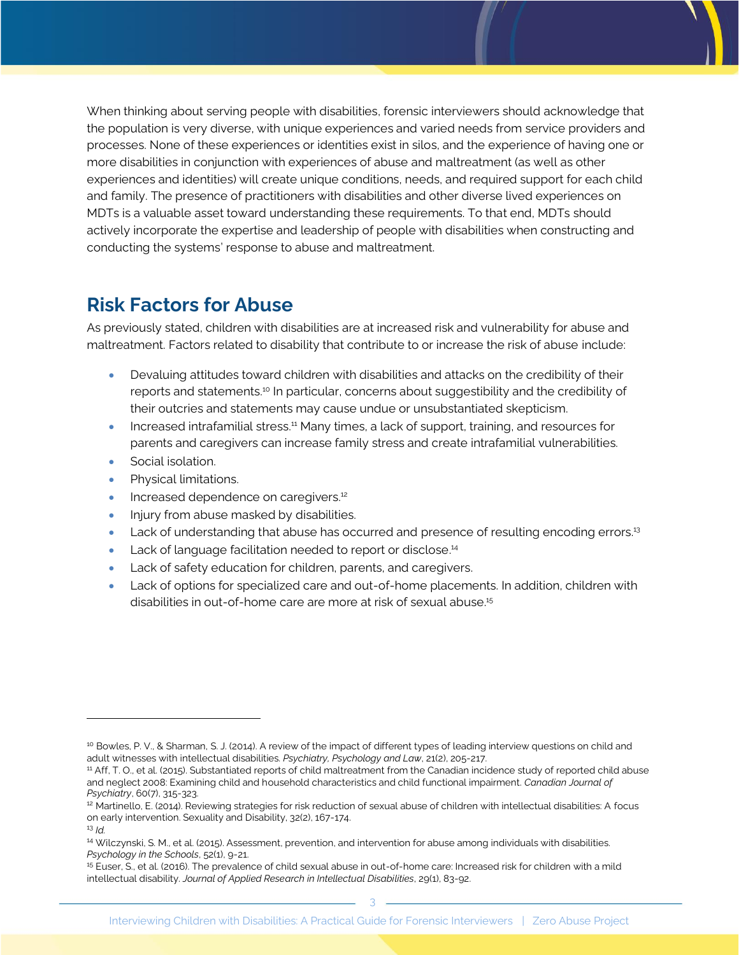When thinking about serving people with disabilities, forensic interviewers should acknowledge that the population is very diverse, with unique experiences and varied needs from service providers and processes. None of these experiences or identities exist in silos, and the experience of having one or more disabilities in conjunction with experiences of abuse and maltreatment (as well as other experiences and identities) will create unique conditions, needs, and required support for each child and family. The presence of practitioners with disabilities and other diverse lived experiences on MDTs is a valuable asset toward understanding these requirements. To that end, MDTs should actively incorporate the expertise and leadership of people with disabilities when constructing and conducting the systems' response to abuse and maltreatment.

# **Risk Factors for Abuse**

As previously stated, children with disabilities are at increased risk and vulnerability for abuse and maltreatment. Factors related to disability that contribute to or increase the risk of abuse include:

- Devaluing attitudes toward children with disabilities and attacks on the credibility of their reports and statements. <sup>10</sup> In particular, concerns about suggestibility and the credibility of their outcries and statements may cause undue or unsubstantiated skepticism.
- Increased intrafamilial stress.<sup>11</sup> Many times, a lack of support, training, and resources for parents and caregivers can increase family stress and create intrafamilial vulnerabilities.
- Social isolation.
- Physical limitations.
- **Increased dependence on caregivers.**<sup>12</sup>
- Injury from abuse masked by disabilities.
- Lack of understanding that abuse has occurred and presence of resulting encoding errors.<sup>13</sup>
- Lack of language facilitation needed to report or disclose.<sup>14</sup>
- Lack of safety education for children, parents, and caregivers.
- Lack of options for specialized care and out-of-home placements. In addition, children with disabilities in out-of-home care are more at risk of sexual abuse. 15

<sup>&</sup>lt;sup>10</sup> Bowles, P. V., & Sharman, S. J. (2014). A review of the impact of different types of leading interview questions on child and adult witnesses with intellectual disabilities. *Psychiatry, Psychology and Law*, 21(2), 205-217.

<sup>&</sup>lt;sup>11</sup> Aff, T. O., et al. (2015). Substantiated reports of child maltreatment from the Canadian incidence study of reported child abuse and neglect 2008: Examining child and household characteristics and child functional impairment. *Canadian Journal of Psychiatry*, 60(7), 315-323.

<sup>&</sup>lt;sup>12</sup> Martinello, E. (2014). Reviewing strategies for risk reduction of sexual abuse of children with intellectual disabilities: A focus on early intervention. Sexuality and Disability, 32(2), 167-174.

<sup>13</sup> *Id.*

<sup>14</sup> Wilczynski, S. M., et al. (2015). Assessment, prevention, and intervention for abuse among individuals with disabilities. *Psychology in the Schools*, 52(1), 9-21.

<sup>15</sup> Euser, S., et al. (2016). The prevalence of child sexual abuse in out‐of‐home care: Increased risk for children with a mild intellectual disability. *Journal of Applied Research in Intellectual Disabilities*, 29(1), 83-92.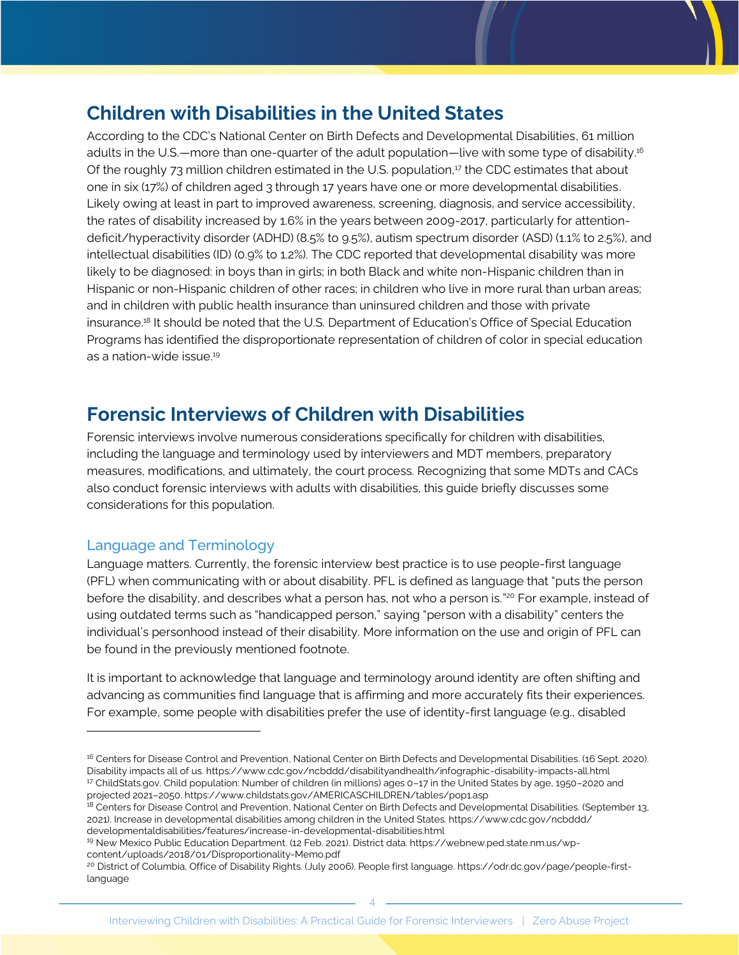# **Children with Disabilities in the United States**

According to the CDC's National Center on Birth Defects and Developmental Disabilities, 61 million adults in the U.S.—more than one-quarter of the adult population—live with some type of disability. 16 Of the roughly 73 million children estimated in the U.S. population, $17$  the CDC estimates that about one in six (17%) of children aged 3 through 17 years have one or more developmental disabilities. Likely owing at least in part to improved awareness, screening, diagnosis, and service accessibility, the rates of disability increased by 1.6% in the years between 2009-2017, particularly for attentiondeficit/hyperactivity disorder (ADHD) (8.5% to 9.5%), autism spectrum disorder (ASD) (1.1% to 2.5%), and intellectual disabilities (ID) (0.9% to 1.2%). The CDC reported that developmental disability was more likely to be diagnosed: in boys than in girls; in both Black and white non-Hispanic children than in Hispanic or non-Hispanic children of other races; in children who live in more rural than urban areas; and in children with public health insurance than uninsured children and those with private insurance.<sup>18</sup> It should be noted that the U.S. Department of Education's Office of Special Education Programs has identified the disproportionate representation of children of color in special education as a nation-wide issue. 19

# **Forensic Interviews of Children with Disabilities**

Forensic interviews involve numerous considerations specifically for children with disabilities, including the language and terminology used by interviewers and MDT members, preparatory measures, modifications, and ultimately, the court process. Recognizing that some MDTs and CACs also conduct forensic interviews with adults with disabilities, this guide briefly discusses some considerations for this population.

### Language and Terminology

Language matters. Currently, the forensic interview best practice is to use people-first language (PFL) when communicating with or about disability. PFL is defined as language that "puts the person before the disability, and describes what a person has, not who a person is."20 For example, instead of using outdated terms such as "handicapped person," saying "person with a disability" centers the individual's personhood instead of their disability. More information on the use and origin of PFL can be found in the previously mentioned footnote.

It is important to acknowledge that language and terminology around identity are often shifting and advancing as communities find language that is affirming and more accurately fits their experiences. For example, some people with disabilities prefer the use of identity-first language (e.g., disabled

```
19 New Mexico Public Education Department. (12 Feb. 2021). District data. https://webnew.ped.state.nm.us/wp-
content/uploads/2018/01/Disproportionality-Memo.pdf
```

```
20 District of Columbia, Office of Disability Rights. (July 2006). People first language. https://odr.dc.gov/page/people-first-
language
```
<sup>&</sup>lt;sup>16</sup> Centers for Disease Control and Prevention, National Center on Birth Defects and Developmental Disabilities. (16 Sept. 2020). Disability impacts all of us. https://www.cdc.gov/ncbddd/disabilityandhealth/infographic-disability-impacts-all.html <sup>17</sup> ChildStats.gov. Child population: Number of children (in millions) ages 0–17 in the United States by age, 1950–2020 and projected 2021–2050. https://www.childstats.gov/AMERICASCHILDREN/tables/pop1.asp

<sup>&</sup>lt;sup>18</sup> Centers for Disease Control and Prevention, National Center on Birth Defects and Developmental Disabilities. (September 13, 2021). Increase in developmental disabilities among children in the United States. https://www.cdc.gov/ncbddd/ developmentaldisabilities/features/increase-in-developmental-disabilities.html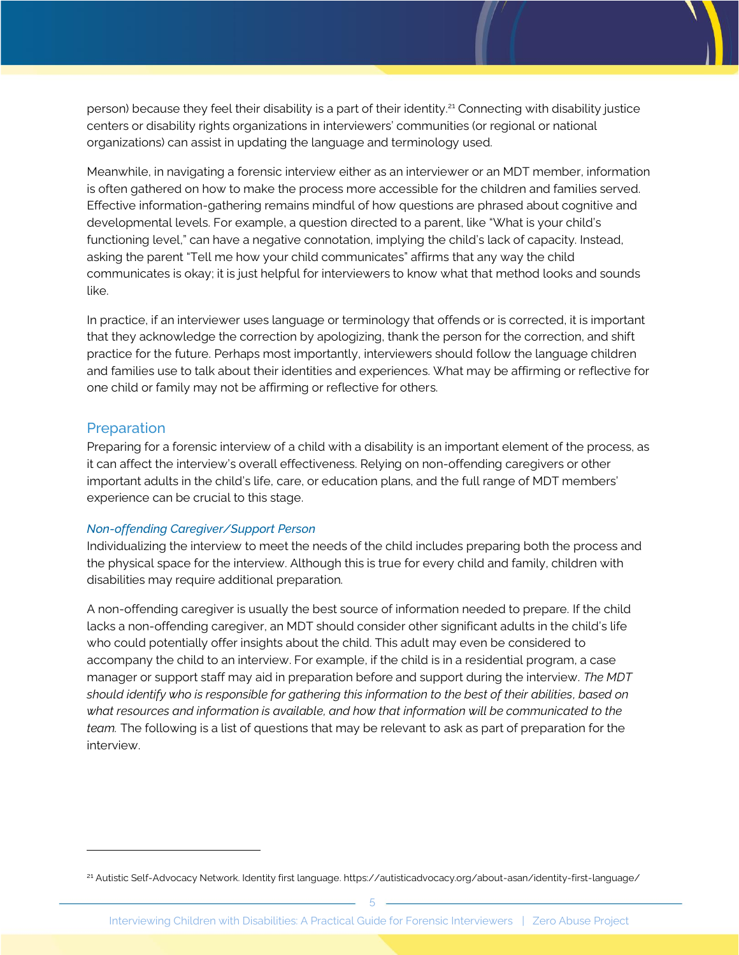person) because they feel their disability is a part of their identity.<sup>21</sup> Connecting with disability justice centers or disability rights organizations in interviewers' communities (or regional or national organizations) can assist in updating the language and terminology used.

Meanwhile, in navigating a forensic interview either as an interviewer or an MDT member, information is often gathered on how to make the process more accessible for the children and families served. Effective information-gathering remains mindful of how questions are phrased about cognitive and developmental levels. For example, a question directed to a parent, like "What is your child's functioning level," can have a negative connotation, implying the child's lack of capacity. Instead, asking the parent "Tell me how your child communicates" affirms that any way the child communicates is okay; it is just helpful for interviewers to know what that method looks and sounds like.

In practice, if an interviewer uses language or terminology that offends or is corrected, it is important that they acknowledge the correction by apologizing, thank the person for the correction, and shift practice for the future. Perhaps most importantly, interviewers should follow the language children and families use to talk about their identities and experiences. What may be affirming or reflective for one child or family may not be affirming or reflective for others.

### Preparation

Preparing for a forensic interview of a child with a disability is an important element of the process, as it can affect the interview's overall effectiveness. Relying on non-offending caregivers or other important adults in the child's life, care, or education plans, and the full range of MDT members' experience can be crucial to this stage.

#### *Non-offending Caregiver/Support Person*

Individualizing the interview to meet the needs of the child includes preparing both the process and the physical space for the interview. Although this is true for every child and family, children with disabilities may require additional preparation.

A non-offending caregiver is usually the best source of information needed to prepare. If the child lacks a non-offending caregiver, an MDT should consider other significant adults in the child's life who could potentially offer insights about the child. This adult may even be considered to accompany the child to an interview. For example, if the child is in a residential program, a case manager or support staff may aid in preparation before and support during the interview. *The MDT should identify who is responsible for gathering this information to the best of their abilities, based on what resources and information is available, and how that information will be communicated to the team.* The following is a list of questions that may be relevant to ask as part of preparation for the interview.

<sup>&</sup>lt;sup>21</sup> Autistic Self-Advocacy Network. Identity first language. https://autisticadvocacy.org/about-asan/identity-first-language/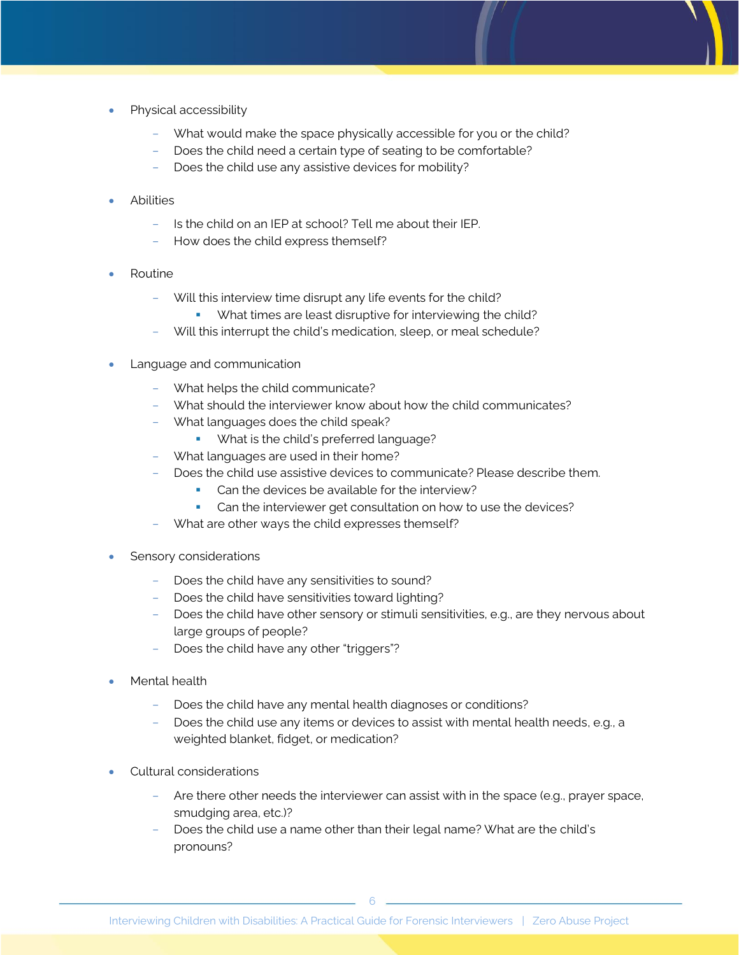- Physical accessibility
	- What would make the space physically accessible for you or the child?
	- Does the child need a certain type of seating to be comfortable?
	- Does the child use any assistive devices for mobility?
- **Abilities** 
	- Is the child on an IEP at school? Tell me about their IEP.
	- How does the child express themself?
- Routine
	- Will this interview time disrupt any life events for the child?
		- What times are least disruptive for interviewing the child?
	- Will this interrupt the child's medication, sleep, or meal schedule?
- Language and communication
	- What helps the child communicate?
	- What should the interviewer know about how the child communicates?
	- What languages does the child speak?
		- What is the child's preferred language?
	- What languages are used in their home?
		- Does the child use assistive devices to communicate? Please describe them.
			- Can the devices be available for the interview?
			- Can the interviewer get consultation on how to use the devices?
	- What are other ways the child expresses themself?
- Sensory considerations
	- Does the child have any sensitivities to sound?
	- Does the child have sensitivities toward lighting?
	- Does the child have other sensory or stimuli sensitivities, e.g., are they nervous about large groups of people?
	- Does the child have any other "triggers"?
- Mental health
	- Does the child have any mental health diagnoses or conditions?
	- Does the child use any items or devices to assist with mental health needs, e.g., a weighted blanket, fidget, or medication?
- Cultural considerations
	- Are there other needs the interviewer can assist with in the space (e.g., prayer space, smudging area, etc.)?
	- Does the child use a name other than their legal name? What are the child's pronouns?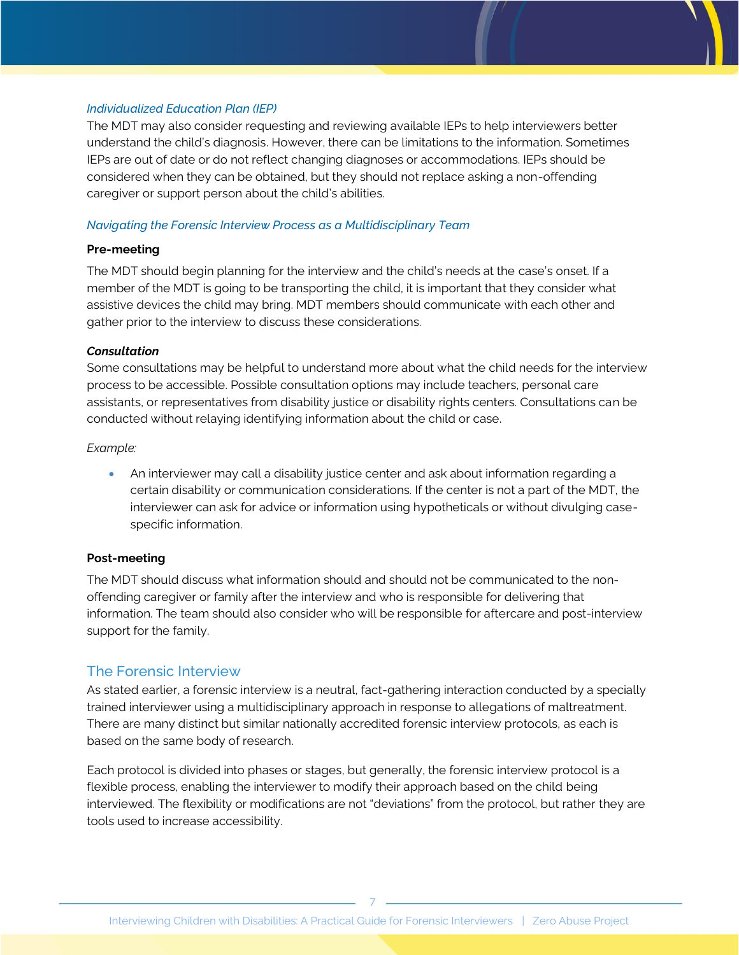#### *Individualized Education Plan (IEP)*

The MDT may also consider requesting and reviewing available IEPs to help interviewers better understand the child's diagnosis. However, there can be limitations to the information. Sometimes IEPs are out of date or do not reflect changing diagnoses or accommodations. IEPs should be considered when they can be obtained, but they should not replace asking a non-offending caregiver or support person about the child's abilities.

#### *Navigating the Forensic Interview Process as a Multidisciplinary Team*

#### **Pre-meeting**

The MDT should begin planning for the interview and the child's needs at the case's onset. If a member of the MDT is going to be transporting the child, it is important that they consider what assistive devices the child may bring. MDT members should communicate with each other and gather prior to the interview to discuss these considerations.

#### *Consultation*

Some consultations may be helpful to understand more about what the child needs for the interview process to be accessible. Possible consultation options may include teachers, personal care assistants, or representatives from disability justice or disability rights centers. Consultations can be conducted without relaying identifying information about the child or case.

#### *Example:*

• An interviewer may call a disability justice center and ask about information regarding a certain disability or communication considerations. If the center is not a part of the MDT, the interviewer can ask for advice or information using hypotheticals or without divulging casespecific information.

#### **Post-meeting**

The MDT should discuss what information should and should not be communicated to the nonoffending caregiver or family after the interview and who is responsible for delivering that information. The team should also consider who will be responsible for aftercare and post-interview support for the family.

### The Forensic Interview

As stated earlier, a forensic interview is a neutral, fact-gathering interaction conducted by a specially trained interviewer using a multidisciplinary approach in response to allegations of maltreatment. There are many distinct but similar nationally accredited forensic interview protocols, as each is based on the same body of research.

Each protocol is divided into phases or stages, but generally, the forensic interview protocol is a flexible process, enabling the interviewer to modify their approach based on the child being interviewed. The flexibility or modifications are not "deviations" from the protocol, but rather they are tools used to increase accessibility.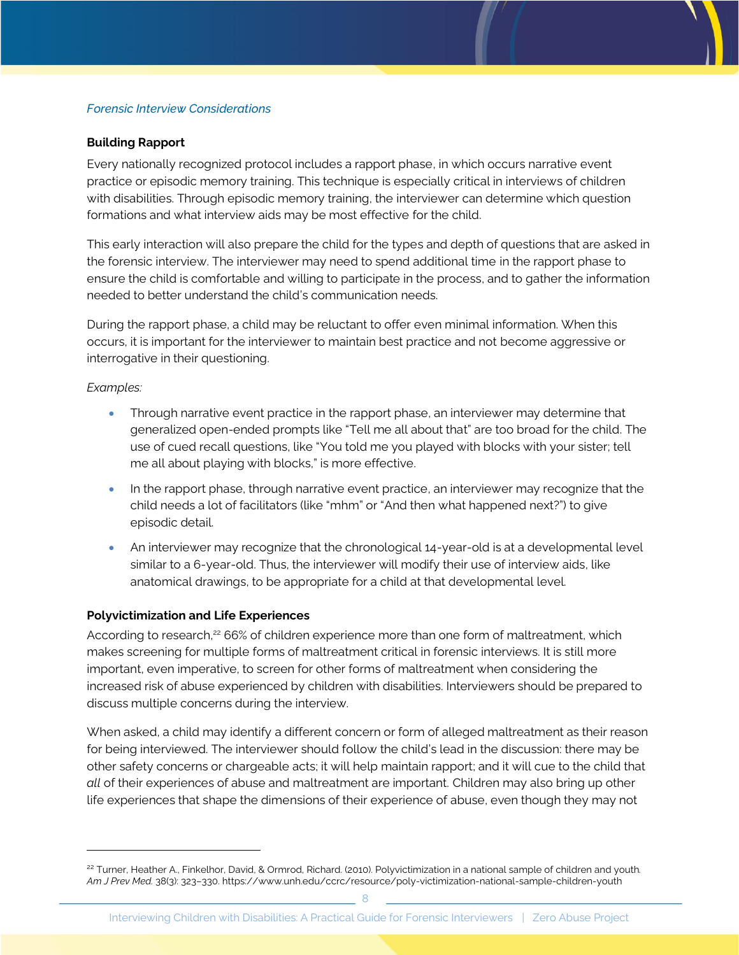### *Forensic Interview Considerations*

#### **Building Rapport**

Every nationally recognized protocol includes a rapport phase, in which occurs narrative event practice or episodic memory training. This technique is especially critical in interviews of children with disabilities. Through episodic memory training, the interviewer can determine which question formations and what interview aids may be most effective for the child.

This early interaction will also prepare the child for the types and depth of questions that are asked in the forensic interview. The interviewer may need to spend additional time in the rapport phase to ensure the child is comfortable and willing to participate in the process, and to gather the information needed to better understand the child's communication needs.

During the rapport phase, a child may be reluctant to offer even minimal information. When this occurs, it is important for the interviewer to maintain best practice and not become aggressive or interrogative in their questioning.

#### *Examples:*

- Through narrative event practice in the rapport phase, an interviewer may determine that generalized open-ended prompts like "Tell me all about that" are too broad for the child. The use of cued recall questions, like "You told me you played with blocks with your sister; tell me all about playing with blocks," is more effective.
- In the rapport phase, through narrative event practice, an interviewer may recognize that the child needs a lot of facilitators (like "mhm" or "And then what happened next?") to give episodic detail.
- An interviewer may recognize that the chronological 14-year-old is at a developmental level similar to a 6-year-old. Thus, the interviewer will modify their use of interview aids, like anatomical drawings, to be appropriate for a child at that developmental level.

#### **Polyvictimization and Life Experiences**

According to research,<sup>22</sup> 66% of children experience more than one form of maltreatment, which makes screening for multiple forms of maltreatment critical in forensic interviews. It is still more important, even imperative, to screen for other forms of maltreatment when considering the increased risk of abuse experienced by children with disabilities. Interviewers should be prepared to discuss multiple concerns during the interview.

When asked, a child may identify a different concern or form of alleged maltreatment as their reason for being interviewed. The interviewer should follow the child's lead in the discussion: there may be other safety concerns or chargeable acts; it will help maintain rapport; and it will cue to the child that *all* of their experiences of abuse and maltreatment are important. Children may also bring up other life experiences that shape the dimensions of their experience of abuse, even though they may not

<sup>22</sup> Turner, Heather A., Finkelhor, David, & Ormrod, Richard. (2010). Polyvictimization in a national sample of children and youth*. Am J Prev Med.* [38\(3\): 323–330. https://www.unh.edu/ccrc/resource/poly-victimization-national-sample-](https://www.unh.edu/ccrc/resource/poly-victimization-national-sample-children-youth)children-youth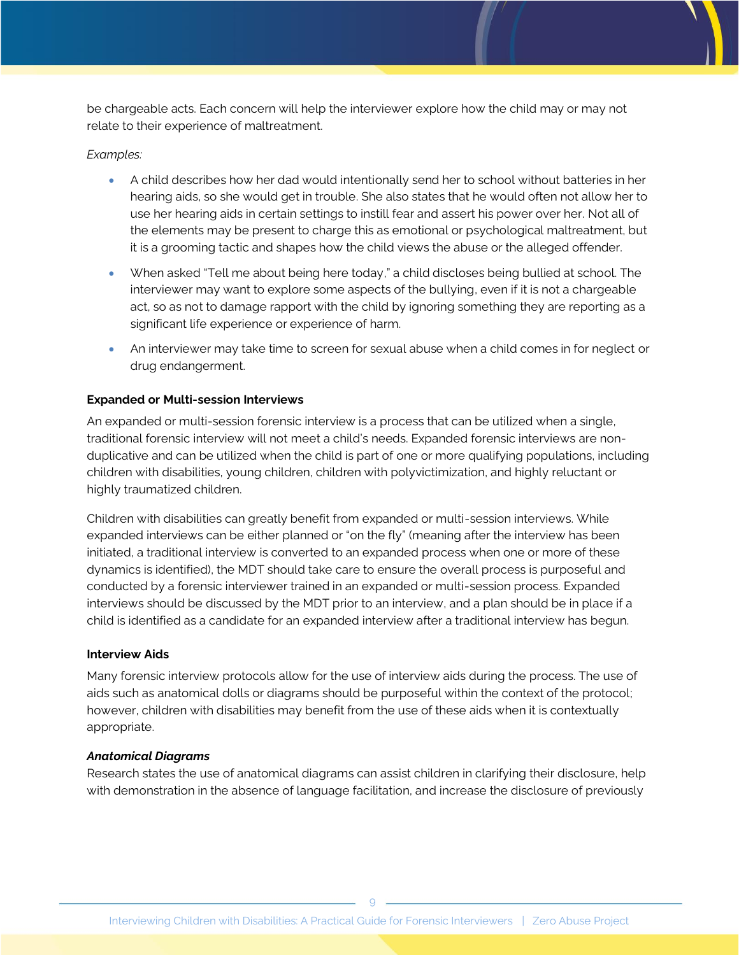be chargeable acts. Each concern will help the interviewer explore how the child may or may not relate to their experience of maltreatment.

#### *Examples:*

- A child describes how her dad would intentionally send her to school without batteries in her hearing aids, so she would get in trouble. She also states that he would often not allow her to use her hearing aids in certain settings to instill fear and assert his power over her. Not all of the elements may be present to charge this as emotional or psychological maltreatment, but it is a grooming tactic and shapes how the child views the abuse or the alleged offender.
- When asked "Tell me about being here today," a child discloses being bullied at school. The interviewer may want to explore some aspects of the bullying, even if it is not a chargeable act, so as not to damage rapport with the child by ignoring something they are reporting as a significant life experience or experience of harm.
- An interviewer may take time to screen for sexual abuse when a child comes in for neglect or drug endangerment.

#### **Expanded or Multi-session Interviews**

An expanded or multi-session forensic interview is a process that can be utilized when a single, traditional forensic interview will not meet a child's needs. Expanded forensic interviews are nonduplicative and can be utilized when the child is part of one or more qualifying populations, including children with disabilities, young children, children with polyvictimization, and highly reluctant or highly traumatized children.

Children with disabilities can greatly benefit from expanded or multi-session interviews. While expanded interviews can be either planned or "on the fly" (meaning after the interview has been initiated, a traditional interview is converted to an expanded process when one or more of these dynamics is identified), the MDT should take care to ensure the overall process is purposeful and conducted by a forensic interviewer trained in an expanded or multi-session process. Expanded interviews should be discussed by the MDT prior to an interview, and a plan should be in place if a child is identified as a candidate for an expanded interview after a traditional interview has begun.

#### **Interview Aids**

Many forensic interview protocols allow for the use of interview aids during the process. The use of aids such as anatomical dolls or diagrams should be purposeful within the context of the protocol; however, children with disabilities may benefit from the use of these aids when it is contextually appropriate.

#### *Anatomical Diagrams*

Research states the use of anatomical diagrams can assist children in clarifying their disclosure, help with demonstration in the absence of language facilitation, and increase the disclosure of previously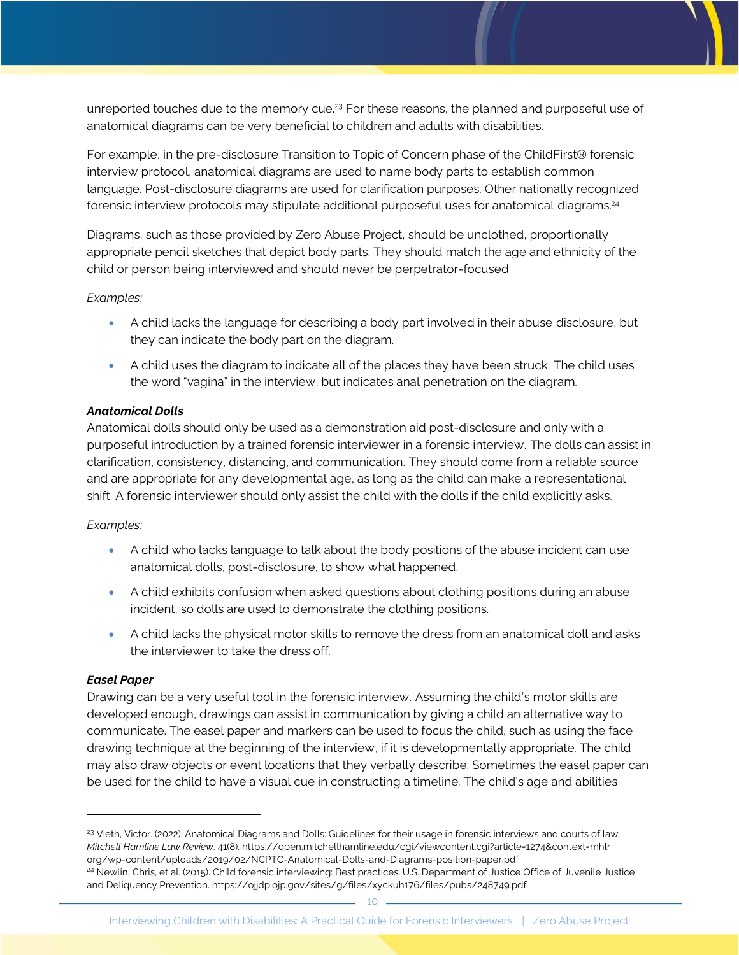unreported touches due to the memory cue.<sup>23</sup> For these reasons, the planned and purposeful use of anatomical diagrams can be very beneficial to children and adults with disabilities.

For example, in the pre-disclosure Transition to Topic of Concern phase of the ChildFirst® forensic interview protocol, anatomical diagrams are used to name body parts to establish common language. Post-disclosure diagrams are used for clarification purposes. Other nationally recognized forensic interview protocols may stipulate additional purposeful uses for anatomical diagrams.<sup>24</sup>

Diagrams, such as those provided by Zero Abuse Project, should be unclothed, proportionally appropriate pencil sketches that depict body parts. They should match the age and ethnicity of the child or person being interviewed and should never be perpetrator-focused.

#### *Examples:*

- A child lacks the language for describing a body part involved in their abuse disclosure, but they can indicate the body part on the diagram.
- A child uses the diagram to indicate all of the places they have been struck. The child uses the word "vagina" in the interview, but indicates anal penetration on the diagram.

#### *Anatomical Dolls*

Anatomical dolls should only be used as a demonstration aid post-disclosure and only with a purposeful introduction by a trained forensic interviewer in a forensic interview. The dolls can assist in clarification, consistency, distancing, and communication. They should come from a reliable source and are appropriate for any developmental age, as long as the child can make a representational shift. A forensic interviewer should only assist the child with the dolls if the child explicitly asks.

#### *Examples:*

- A child who lacks language to talk about the body positions of the abuse incident can use anatomical dolls, post-disclosure, to show what happened.
- A child exhibits confusion when asked questions about clothing positions during an abuse incident, so dolls are used to demonstrate the clothing positions.
- A child lacks the physical motor skills to remove the dress from an anatomical doll and asks the interviewer to take the dress off.

#### *Easel Paper*

Drawing can be a very useful tool in the forensic interview. Assuming the child's motor skills are developed enough, drawings can assist in communication by giving a child an alternative way to communicate. The easel paper and markers can be used to focus the child, such as using the face drawing technique at the beginning of the interview, if it is developmentally appropriate. The child may also draw objects or event locations that they verbally describe. Sometimes the easel paper can be used for the child to have a visual cue in constructing a timeline. The child's age and abilities

<sup>&</sup>lt;sup>23</sup> Vieth, Victor. (2022). Anatomical Diagrams and Dolls: Guidelines for their usage in forensic interviews and courts of law. *Mitchell Hamline Law Review*. 41(8). https://open.mitchellhamline.edu/cgi/viewcontent.cgi?article=1274&context=mhlr [org/wp-content/uploads/2019/02/NCPTC-Anatomical-Dolls-and-Diagrams-position-paper.pdf](https://open.mitchellhamline.edu/cgi/viewcontent.cgi?article=1274&context=mhlr) <sup>24</sup> Newlin, Chris, et al. (2015). Child forensic interviewing: Best practices. U.S. Department of Justice Office of Juvenile Justice and Deliquency Preventio[n. https://ojjdp.ojp.gov/sites/g/files/xyckuh176/files/pubs/248749.pdf](https://ojjdp.ojp.gov/sites/g/files/xyckuh176/files/pubs/248749.pdf)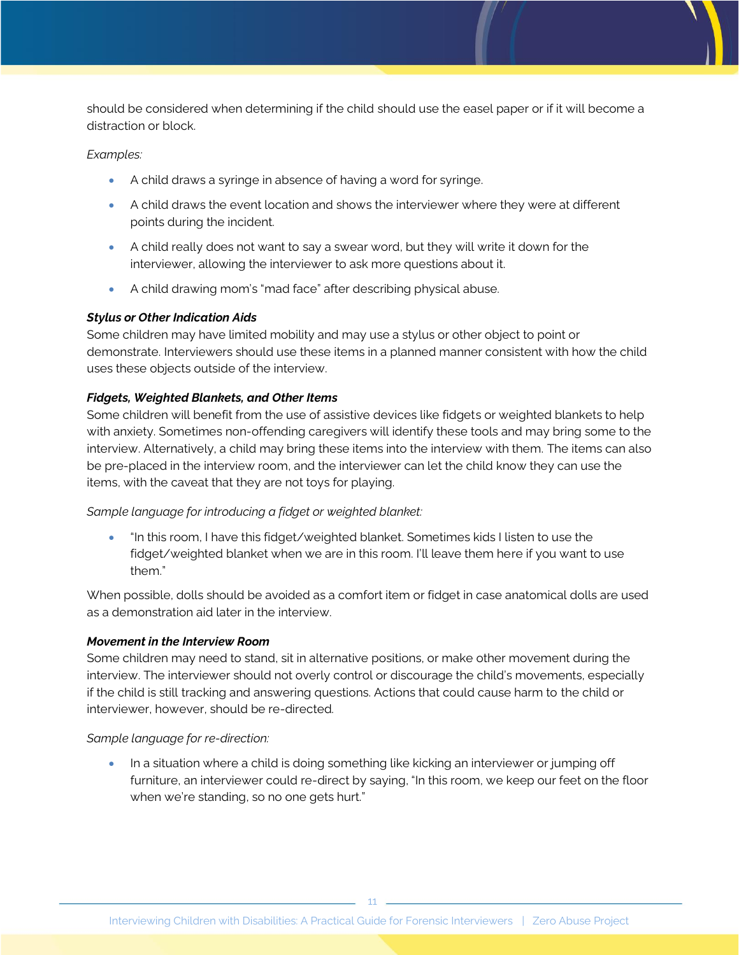should be considered when determining if the child should use the easel paper or if it will become a distraction or block.

#### *Examples:*

- A child draws a syringe in absence of having a word for syringe.
- A child draws the event location and shows the interviewer where they were at different points during the incident.
- A child really does not want to say a swear word, but they will write it down for the interviewer, allowing the interviewer to ask more questions about it.
- A child drawing mom's "mad face" after describing physical abuse.

#### *Stylus or Other Indication Aids*

Some children may have limited mobility and may use a stylus or other object to point or demonstrate. Interviewers should use these items in a planned manner consistent with how the child uses these objects outside of the interview.

#### *Fidgets, Weighted Blankets, and Other Items*

Some children will benefit from the use of assistive devices like fidgets or weighted blankets to help with anxiety. Sometimes non-offending caregivers will identify these tools and may bring some to the interview. Alternatively, a child may bring these items into the interview with them. The items can also be pre-placed in the interview room, and the interviewer can let the child know they can use the items, with the caveat that they are not toys for playing.

#### *Sample language for introducing a fidget or weighted blanket:*

• "In this room, I have this fidget/weighted blanket. Sometimes kids I listen to use the fidget/weighted blanket when we are in this room. I'll leave them here if you want to use them."

When possible, dolls should be avoided as a comfort item or fidget in case anatomical dolls are used as a demonstration aid later in the interview.

#### *Movement in the Interview Room*

Some children may need to stand, sit in alternative positions, or make other movement during the interview. The interviewer should not overly control or discourage the child's movements, especially if the child is still tracking and answering questions. Actions that could cause harm to the child or interviewer, however, should be re-directed.

#### *Sample language for re-direction:*

• In a situation where a child is doing something like kicking an interviewer or jumping off furniture, an interviewer could re-direct by saying, "In this room, we keep our feet on the floor when we're standing, so no one gets hurt."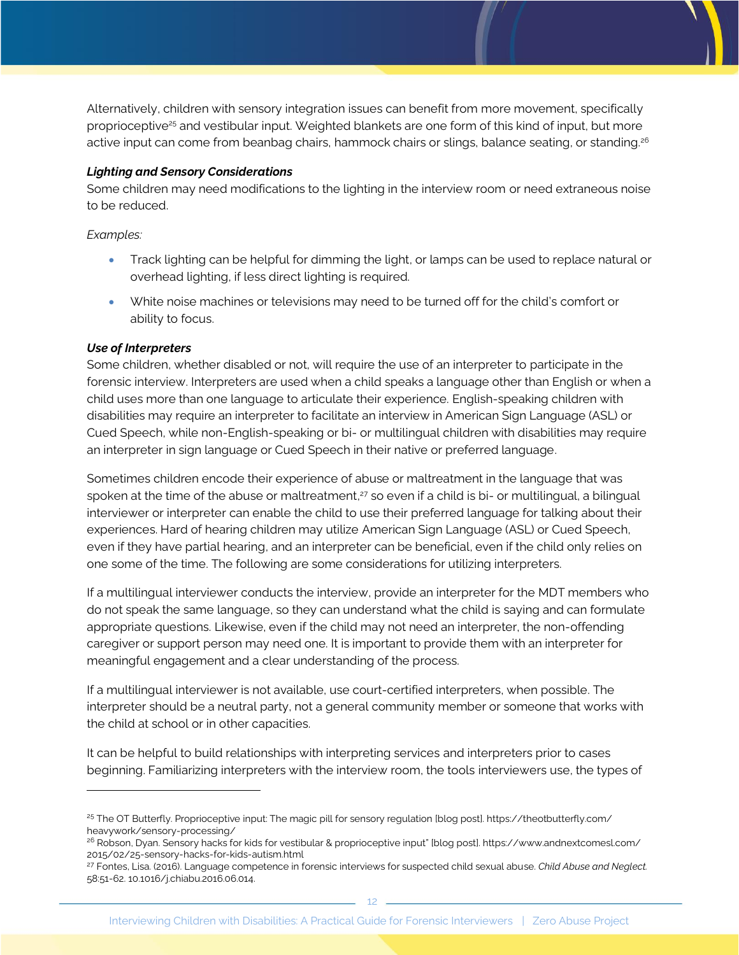Alternatively, children with sensory integration issues can benefit from more movement, specifically proprioceptive<sup>25</sup> and vestibular input. Weighted blankets are one form of this kind of input, but more active input can come from beanbag chairs, hammock chairs or slings, balance seating, or standing.<sup>26</sup>

#### *Lighting and Sensory Considerations*

Some children may need modifications to the lighting in the interview room or need extraneous noise to be reduced.

*Examples:* 

- Track lighting can be helpful for dimming the light, or lamps can be used to replace natural or overhead lighting, if less direct lighting is required.
- White noise machines or televisions may need to be turned off for the child's comfort or ability to focus.

#### *Use of Interpreters*

Some children, whether disabled or not, will require the use of an interpreter to participate in the forensic interview. Interpreters are used when a child speaks a language other than English or when a child uses more than one language to articulate their experience. English-speaking children with disabilities may require an interpreter to facilitate an interview in American Sign Language (ASL) or Cued Speech, while non-English-speaking or bi- or multilingual children with disabilities may require an interpreter in sign language or Cued Speech in their native or preferred language.

Sometimes children encode their experience of abuse or maltreatment in the language that was spoken at the time of the abuse or maltreatment, <sup>27</sup> so even if a child is bi- or multilingual, a bilingual interviewer or interpreter can enable the child to use their preferred language for talking about their experiences. Hard of hearing children may utilize American Sign Language (ASL) or Cued Speech, even if they have partial hearing, and an interpreter can be beneficial, even if the child only relies on one some of the time. The following are some considerations for utilizing interpreters.

If a multilingual interviewer conducts the interview, provide an interpreter for the MDT members who do not speak the same language, so they can understand what the child is saying and can formulate appropriate questions. Likewise, even if the child may not need an interpreter, the non-offending caregiver or support person may need one. It is important to provide them with an interpreter for meaningful engagement and a clear understanding of the process.

If a multilingual interviewer is not available, use court-certified interpreters, when possible. The interpreter should be a neutral party, not a general community member or someone that works with the child at school or in other capacities.

It can be helpful to build relationships with interpreting services and interpreters prior to cases beginning. Familiarizing interpreters with the interview room, the tools interviewers use, the types of

<sup>&</sup>lt;sup>25</sup> The OT Butterfly. Proprioceptive input: The magic pill for sensory regulation [blog post]. https://theotbutterfly.com/ heavywork/sensory-processing/

<sup>&</sup>lt;sup>26</sup> Robson, Dyan. Sensory hacks for kids for vestibular & proprioceptive input" [blog post]. https://www.andnextcomesl.com/ 2015/02/25-sensory-hacks-for-kids-autism.html

<sup>27</sup> Fontes, Lisa. (2016). Language competence in forensic interviews for suspected child sexual abuse. *Child Abuse and Neglect.* 58:51-62. 10.1016/j.chiabu.2016.06.014.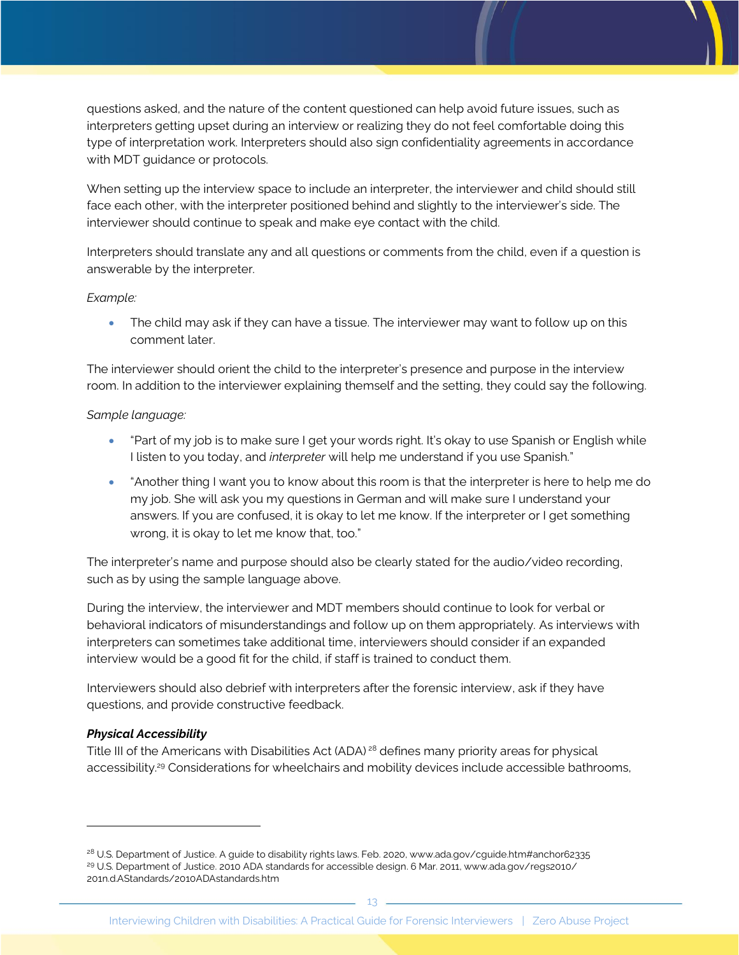questions asked, and the nature of the content questioned can help avoid future issues, such as interpreters getting upset during an interview or realizing they do not feel comfortable doing this type of interpretation work. Interpreters should also sign confidentiality agreements in accordance with MDT guidance or protocols.

When setting up the interview space to include an interpreter, the interviewer and child should still face each other, with the interpreter positioned behind and slightly to the interviewer's side. The interviewer should continue to speak and make eye contact with the child.

Interpreters should translate any and all questions or comments from the child, even if a question is answerable by the interpreter.

#### *Example:*

• The child may ask if they can have a tissue. The interviewer may want to follow up on this comment later.

The interviewer should orient the child to the interpreter's presence and purpose in the interview room. In addition to the interviewer explaining themself and the setting, they could say the following.

#### *Sample language:*

- "Part of my job is to make sure I get your words right. It's okay to use Spanish or English while I listen to you today, and *interpreter* will help me understand if you use Spanish."
- "Another thing I want you to know about this room is that the interpreter is here to help me do my job. She will ask you my questions in German and will make sure I understand your answers. If you are confused, it is okay to let me know. If the interpreter or I get something wrong, it is okay to let me know that, too."

The interpreter's name and purpose should also be clearly stated for the audio/video recording, such as by using the sample language above.

During the interview, the interviewer and MDT members should continue to look for verbal or behavioral indicators of misunderstandings and follow up on them appropriately. As interviews with interpreters can sometimes take additional time, interviewers should consider if an expanded interview would be a good fit for the child, if staff is trained to conduct them.

Interviewers should also debrief with interpreters after the forensic interview, ask if they have questions, and provide constructive feedback.

#### *Physical Accessibility*

Title III of the Americans with Disabilities Act (ADA) <sup>28</sup> defines many priority areas for physical accessibility.<sup>29</sup> Considerations for wheelchairs and mobility devices include accessible bathrooms,

<sup>&</sup>lt;sup>28</sup> U.S. Department of Justice. A guide to disability rights laws. Feb. 2020, www.ada.gov/cguide.htm#anchor62335 <sup>29</sup> U.S. Department of Justice. 2010 ADA standards for accessible design. 6 Mar. 2011, www.ada.gov/regs2010/ 201n.d.AStandards/2010ADAstandards.htm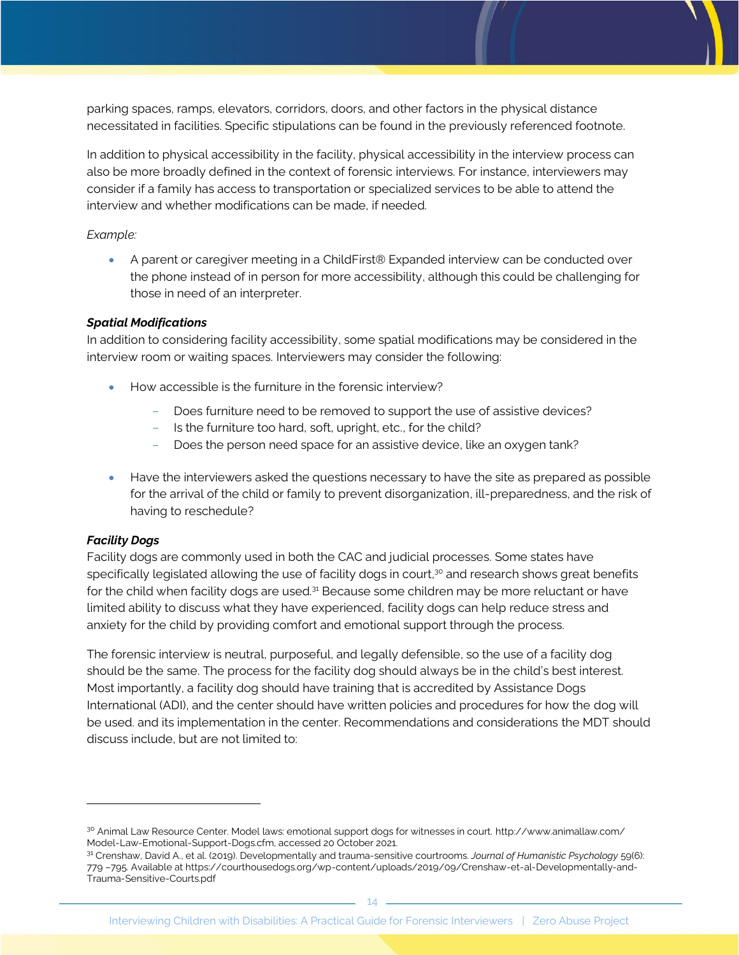parking spaces, ramps, elevators, corridors, doors, and other factors in the physical distance necessitated in facilities. Specific stipulations can be found in the previously referenced footnote.

In addition to physical accessibility in the facility, physical accessibility in the interview process can also be more broadly defined in the context of forensic interviews. For instance, interviewers may consider if a family has access to transportation or specialized services to be able to attend the interview and whether modifications can be made, if needed.

#### *Example:*

• A parent or caregiver meeting in a ChildFirst® Expanded interview can be conducted over the phone instead of in person for more accessibility, although this could be challenging for those in need of an interpreter.

#### *Spatial Modifications*

In addition to considering facility accessibility, some spatial modifications may be considered in the interview room or waiting spaces. Interviewers may consider the following:

- How accessible is the furniture in the forensic interview?
	- Does furniture need to be removed to support the use of assistive devices?
	- Is the furniture too hard, soft, upright, etc., for the child?
	- Does the person need space for an assistive device, like an oxygen tank?
- Have the interviewers asked the questions necessary to have the site as prepared as possible for the arrival of the child or family to prevent disorganization, ill-preparedness, and the risk of having to reschedule?

#### *Facility Dogs*

Facility dogs are commonly used in both the CAC and judicial processes. Some states have specifically legislated allowing the use of facility dogs in court, $30$  and research shows great benefits for the child when facility dogs are used.<sup>31</sup> Because some children may be more reluctant or have limited ability to discuss what they have experienced, facility dogs can help reduce stress and anxiety for the child by providing comfort and emotional support through the process.

The forensic interview is neutral, purposeful, and legally defensible, so the use of a facility dog should be the same. The process for the facility dog should always be in the child's best interest. Most importantly, a facility dog should have training that is accredited by Assistance Dogs International (ADI), and the center should have written policies and procedures for how the dog will be used. and its implementation in the center. Recommendations and considerations the MDT should discuss include, but are not limited to:

<sup>30</sup> Animal Law Resource Center. Model laws: emotional support dogs for witnesses in court. http://www.animallaw.com/ Model-Law-Emotional-Support-Dogs.cfm, accessed 20 October 2021.

<sup>31</sup> Crenshaw, David A., et al. (2019). Developmentally and trauma-sensitive courtrooms. *Journal of Humanistic Psychology* 59(6): 779 –795. Available at https://courthousedogs.org/wp-content/uploads/2019/09/Crenshaw-et-al-Developmentally-and-Trauma-Sensitive-Courts.pdf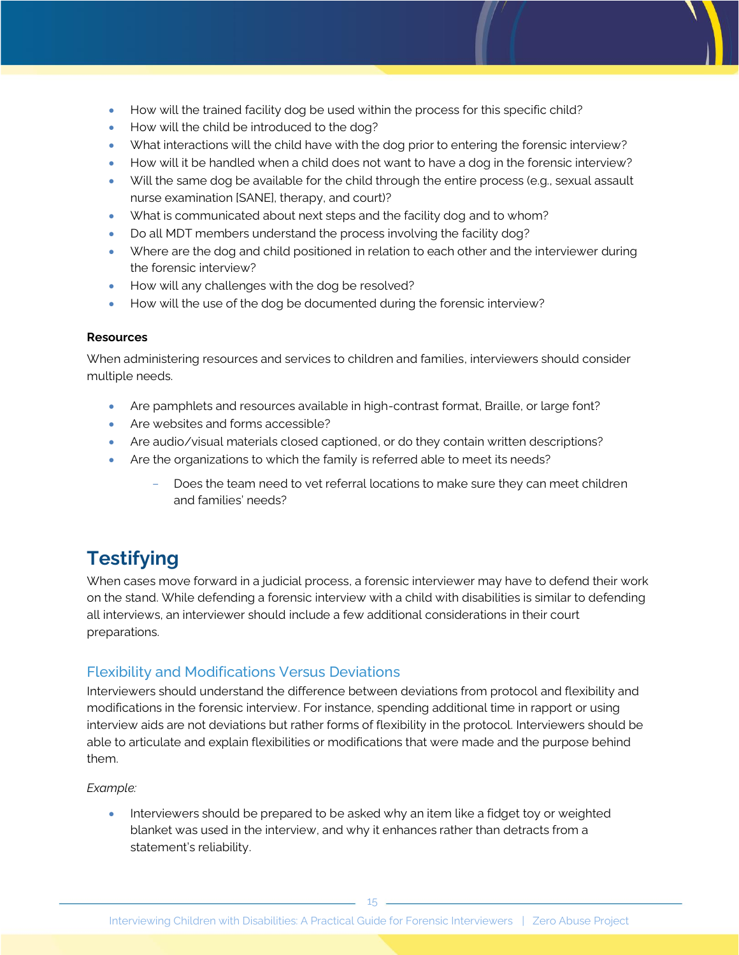- How will the trained facility dog be used within the process for this specific child?
- How will the child be introduced to the dog?
- What interactions will the child have with the dog prior to entering the forensic interview?
- How will it be handled when a child does not want to have a dog in the forensic interview?
- Will the same dog be available for the child through the entire process (e.g., sexual assault nurse examination [SANE], therapy, and court)?
- What is communicated about next steps and the facility dog and to whom?
- Do all MDT members understand the process involving the facility dog?
- Where are the dog and child positioned in relation to each other and the interviewer during the forensic interview?
- How will any challenges with the dog be resolved?
- How will the use of the dog be documented during the forensic interview?

#### **Resources**

When administering resources and services to children and families, interviewers should consider multiple needs.

- Are pamphlets and resources available in high-contrast format, Braille, or large font?
- Are websites and forms accessible?
- Are audio/visual materials closed captioned, or do they contain written descriptions?
- Are the organizations to which the family is referred able to meet its needs?
	- Does the team need to vet referral locations to make sure they can meet children and families' needs?

# **Testifying**

When cases move forward in a judicial process, a forensic interviewer may have to defend their work on the stand. While defending a forensic interview with a child with disabilities is similar to defending all interviews, an interviewer should include a few additional considerations in their court preparations.

### Flexibility and Modifications Versus Deviations

Interviewers should understand the difference between deviations from protocol and flexibility and modifications in the forensic interview. For instance, spending additional time in rapport or using interview aids are not deviations but rather forms of flexibility in the protocol. Interviewers should be able to articulate and explain flexibilities or modifications that were made and the purpose behind them.

#### *Example:*

• Interviewers should be prepared to be asked why an item like a fidget toy or weighted blanket was used in the interview, and why it enhances rather than detracts from a statement's reliability.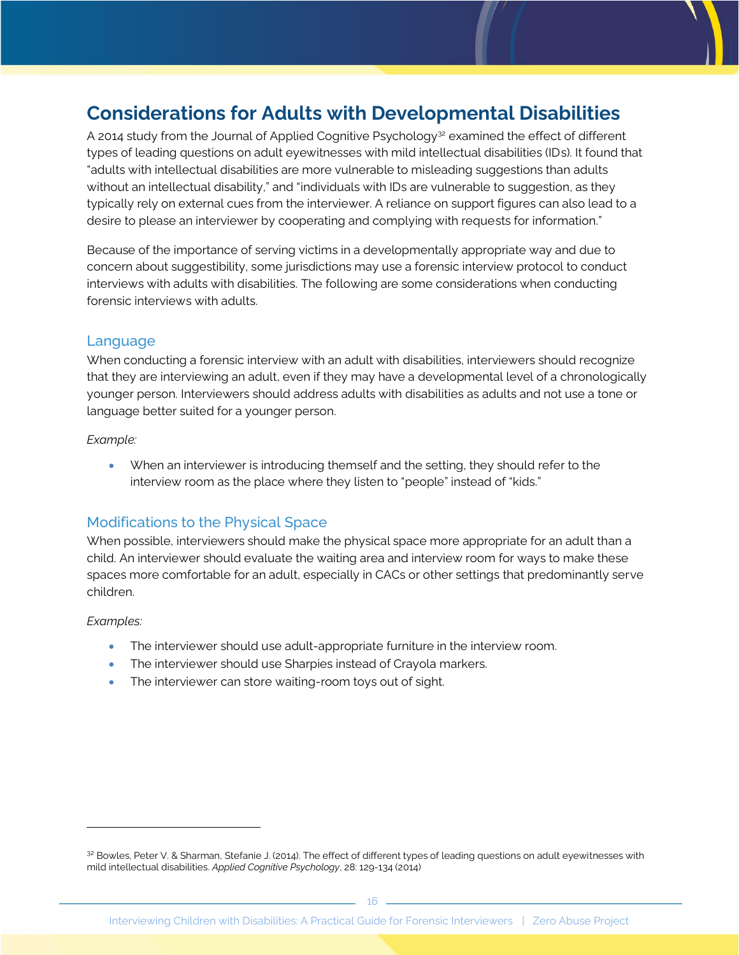# **Considerations for Adults with Developmental Disabilities**

A 2014 study from the Journal of Applied Cognitive Psychology<sup>32</sup> examined the effect of different types of leading questions on adult eyewitnesses with mild intellectual disabilities (IDs). It found that "adults with intellectual disabilities are more vulnerable to misleading suggestions than adults without an intellectual disability," and "individuals with IDs are vulnerable to suggestion, as they typically rely on external cues from the interviewer. A reliance on support figures can also lead to a desire to please an interviewer by cooperating and complying with requests for information."

Because of the importance of serving victims in a developmentally appropriate way and due to concern about suggestibility, some jurisdictions may use a forensic interview protocol to conduct interviews with adults with disabilities. The following are some considerations when conducting forensic interviews with adults.

### Language

When conducting a forensic interview with an adult with disabilities, interviewers should recognize that they are interviewing an adult, even if they may have a developmental level of a chronologically younger person. Interviewers should address adults with disabilities as adults and not use a tone or language better suited for a younger person.

#### *Example:*

• When an interviewer is introducing themself and the setting, they should refer to the interview room as the place where they listen to "people" instead of "kids."

### Modifications to the Physical Space

When possible, interviewers should make the physical space more appropriate for an adult than a child. An interviewer should evaluate the waiting area and interview room for ways to make these spaces more comfortable for an adult, especially in CACs or other settings that predominantly serve children.

#### *Examples:*

- The interviewer should use adult-appropriate furniture in the interview room.
- The interviewer should use Sharpies instead of Crayola markers.
- The interviewer can store waiting-room toys out of sight.

<sup>32</sup> Bowles, Peter V. & Sharman, Stefanie J. (2014). The effect of different types of leading questions on adult eyewitnesses with mild intellectual disabilities. *Applied Cognitive Psychology*, 28: 129-134 (2014)